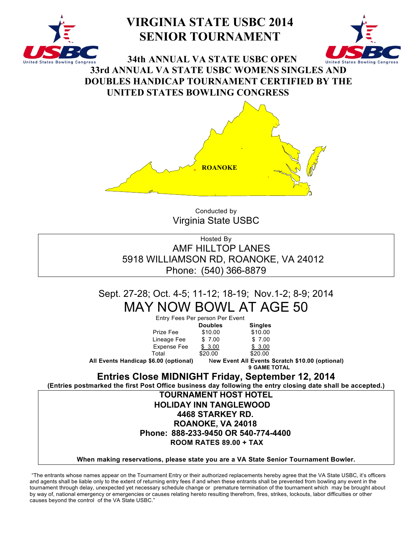

# **VIRGINIA STATE USBC 2014 SENIOR TOURNAMENT**



**34th ANNUAL VA STATE USBC OPEN 33rd ANNUAL VA STATE USBC WOMENS SINGLES AND DOUBLES HANDICAP TOURNAMENT CERTIFIED BY THE UNITED STATES BOWLING CONGRESS**



Conducted by Virginia State USBC

Hosted By AMF HILLTOP LANES 5918 WILLIAMSON RD, ROANOKE, VA 24012 Phone: (540) 366-8879

# Sept. 27-28; Oct. 4-5; 11-12; 18-19; Nov.1-2; 8-9; 2014 MAY NOW BOWL AT AGE 50

| Entry Fees Per person Per Event                                                                             |                |                                                                        |  |
|-------------------------------------------------------------------------------------------------------------|----------------|------------------------------------------------------------------------|--|
|                                                                                                             | <b>Doubles</b> | <b>Singles</b>                                                         |  |
| Prize Fee                                                                                                   | \$10.00        | \$10.00                                                                |  |
| Lineage Fee                                                                                                 | \$ 7.00        | \$7.00                                                                 |  |
| Expense Fee                                                                                                 | \$3.00         | \$3.00                                                                 |  |
| Total                                                                                                       | \$20.00        | \$20.00                                                                |  |
| All Events Handicap \$6.00 (optional)                                                                       |                | New Event All Events Scratch \$10.00 (optional)<br><b>9 GAME TOTAL</b> |  |
|                                                                                                             |                | <b>Entries Close MIDNIGHT Friday, September 12, 2014</b>               |  |
| (Entries postmarked the first Post Office business day following the entry closing date shall be accepted.) |                |                                                                        |  |
|                                                                                                             |                | <b>TOURNAMENT HOST HOTEL</b>                                           |  |
|                                                                                                             |                |                                                                        |  |

## **HOLIDAY INN TANGLEWOOD 4468 STARKEY RD. ROANOKE, VA 24018 Phone: 888-233-9450 OR 540-774-4400 ROOM RATES 89.00 + TAX**

### **When making reservations, please state you are a VA State Senior Tournament Bowler.**

"The entrants whose names appear on the Tournament Entry or their authorized replacements hereby agree that the VA State USBC, it's officers and agents shall be liable only to the extent of returning entry fees if and when these entrants shall be prevented from bowling any event in the tournament through delay, unexpected yet necessary schedule change or premature termination of the tournament which may be brought about by way of, national emergency or emergencies or causes relating hereto resulting therefrom, fires, strikes, lockouts, labor difficulties or other causes beyond the control of the VA State USBC."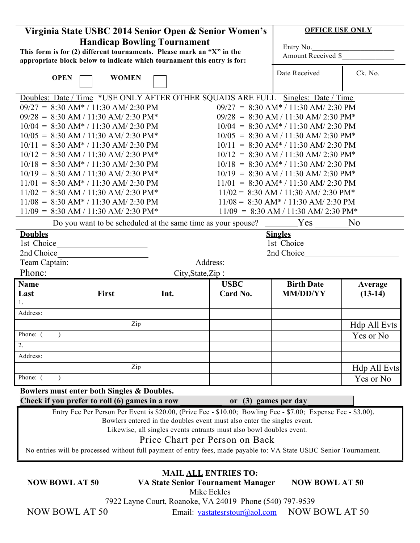| Virginia State USBC 2014 Senior Open & Senior Women's                                                         |           |                        |                                        | <b>OFFICE USE ONLY</b> |  |
|---------------------------------------------------------------------------------------------------------------|-----------|------------------------|----------------------------------------|------------------------|--|
|                                                                                                               |           |                        |                                        |                        |  |
| <b>Handicap Bowling Tournament</b>                                                                            | Entry No. |                        |                                        |                        |  |
| This form is for (2) different tournaments. Please mark an "X" in the                                         |           |                        | Amount Received \$                     |                        |  |
| appropriate block below to indicate which tournament this entry is for:                                       |           |                        |                                        |                        |  |
| <b>OPEN</b><br><b>WOMEN</b>                                                                                   |           |                        | Date Received                          | Ck. No.                |  |
|                                                                                                               |           |                        |                                        |                        |  |
| Doubles: Date / Time *USE ONLY AFTER OTHER SQUADS ARE FULL Singles: Date / Time                               |           |                        |                                        |                        |  |
| $09/27 = 8:30$ AM* / 11:30 AM/ 2:30 PM                                                                        |           |                        | $09/27 = 8:30$ AM* / 11:30 AM/ 2:30 PM |                        |  |
| $09/28 = 8:30$ AM / 11:30 AM/ 2:30 PM*                                                                        |           |                        | $09/28 = 8:30$ AM / 11:30 AM/ 2:30 PM* |                        |  |
| $10/04 = 8:30$ AM* / 11:30 AM/ 2:30 PM                                                                        |           |                        | $10/04 = 8:30$ AM* / 11:30 AM/ 2:30 PM |                        |  |
| $10/05 = 8:30$ AM / 11:30 AM/ 2:30 PM*                                                                        |           |                        | $10/05 = 8:30$ AM / 11:30 AM/ 2:30 PM* |                        |  |
| $10/11 = 8:30$ AM* / 11:30 AM/ 2:30 PM                                                                        |           |                        | $10/11 = 8:30$ AM* / 11:30 AM/ 2:30 PM |                        |  |
| $10/12 = 8:30$ AM / 11:30 AM/ 2:30 PM*                                                                        |           |                        | $10/12 = 8:30$ AM / 11:30 AM/ 2:30 PM* |                        |  |
| $10/18 = 8:30$ AM* / 11:30 AM/ 2:30 PM                                                                        |           |                        | $10/18 = 8:30$ AM* / 11:30 AM/ 2:30 PM |                        |  |
| $10/19 = 8:30$ AM / 11:30 AM/ 2:30 PM*                                                                        |           |                        | $10/19 = 8:30$ AM / 11:30 AM/ 2:30 PM* |                        |  |
| $11/01 = 8:30$ AM* / 11:30 AM/ 2:30 PM                                                                        |           |                        | $11/01 = 8:30$ AM* / 11:30 AM/ 2:30 PM |                        |  |
| $11/02 = 8:30$ AM / 11:30 AM/ 2:30 PM*                                                                        |           |                        | $11/02 = 8:30$ AM / 11:30 AM/ 2:30 PM* |                        |  |
| $11/08 = 8:30$ AM* / 11:30 AM/ 2:30 PM                                                                        |           |                        | $11/08 = 8:30$ AM* / 11:30 AM/ 2:30 PM |                        |  |
| $11/09 = 8:30$ AM / 11:30 AM/ 2:30 PM*                                                                        |           |                        | $11/09 = 8:30$ AM / 11:30 AM/ 2:30 PM* |                        |  |
|                                                                                                               |           |                        |                                        |                        |  |
| Do you want to be scheduled at the same time as your spouse?                                                  |           |                        | $Yes \_$                               | N <sub>0</sub>         |  |
| <b>Doubles</b>                                                                                                |           |                        | <b>Singles</b>                         |                        |  |
| 1st Choice                                                                                                    |           |                        | 1st Choice                             |                        |  |
| 2nd Choice                                                                                                    |           |                        | 2nd Choice 2012                        |                        |  |
| Team Captain: 1997                                                                                            |           | Address:               |                                        |                        |  |
| Phone:                                                                                                        |           | City, State, Zip:      |                                        |                        |  |
| <b>Name</b>                                                                                                   |           | <b>USBC</b>            | <b>Birth Date</b>                      | Average                |  |
| Last<br><b>First</b>                                                                                          | Int.      | Card No.               | <b>MM/DD/YY</b>                        | $(13-14)$              |  |
| $\mathbf{1}$ .                                                                                                |           |                        |                                        |                        |  |
| Address:                                                                                                      |           |                        |                                        |                        |  |
|                                                                                                               | Zip       |                        |                                        | Hdp All Evts           |  |
| Phone: (                                                                                                      |           |                        |                                        | Yes or No              |  |
| 2.                                                                                                            |           |                        |                                        |                        |  |
| Address:                                                                                                      |           |                        |                                        |                        |  |
|                                                                                                               | Zip       |                        |                                        | <b>Hdp All Evts</b>    |  |
| Phone: (                                                                                                      |           |                        |                                        | Yes or No              |  |
| Bowlers must enter both Singles & Doubles.                                                                    |           |                        |                                        |                        |  |
| Check if you prefer to roll (6) games in a row                                                                |           | or $(3)$ games per day |                                        |                        |  |
| Entry Fee Per Person Per Event is \$20.00, (Prize Fee - \$10.00; Bowling Fee - \$7.00; Expense Fee - \$3.00). |           |                        |                                        |                        |  |
| Bowlers entered in the doubles event must also enter the singles event.                                       |           |                        |                                        |                        |  |

Likewise, all singles events entrants must also bowl doubles event.

## Price Chart per Person on Back

No entries will be processed without full payment of entry fees, made payable to: VA State USBC Senior Tournament.

## **MAIL ALL ENTRIES TO:**

**NOW BOWL AT 50 VA State Senior Tournament Manager NOW BOWL AT 50**

Mike Eckles

7922 Layne Court, Roanoke, VA 24019 Phone (540) 797-9539

NOW BOWL AT 50 Email: vastatesrstour@aol.com NOW BOWL AT 50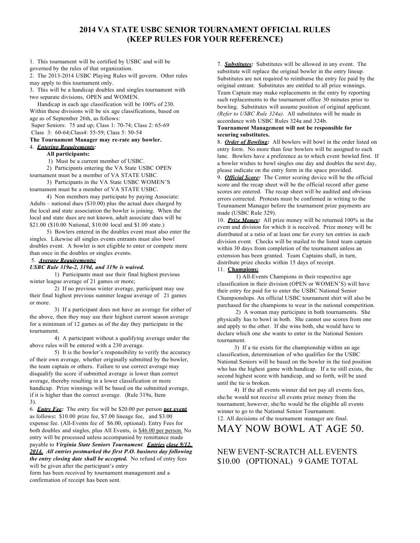## **2014 VA STATE USBC SENIOR TOURNAMENT OFFICIAL RULES (KEEP RULES FOR YOUR REFERENCE)**

1. This tournament will be certified by USBC and will be governed by the rules of that organization.

2. The 2013-2014 USBC Playing Rules will govern. Other rules may apply to this tournament only.

3. This will be a handicap doubles and singles tournament with two separate divisions, OPEN and WOMEN.

Handicap in each age classification will be 100% of 230. Within these divisions will be six age classifications, based on age as of September 26th, as follows:

Super Seniors: 75 and up; Class 1: 70-74; Class 2: 65-69 Class 3: 60-64;Class4: 55-59; Class 5: 50-54

#### **The Tournament Manager may re-rate any bowler.**

4. *Entering Requirements:*

#### **All participants:**

1) Must be a current member of USBC.

2) Participants entering the VA State USBC OPEN tournament must be a member of VA STATE USBC.

3) Participants in the VA State USBC WOMEN'S tournament must be a member of VA STATE USBC.

4) Non members may participate by paying Associate: Adults – national dues (\$10.00) plus the actual dues charged by the local and state association the bowler is joining. When the local and state dues are not known, adult associate dues will be \$21.00 (\$10.00 National, \$10.00 local and \$1.00 state.)

5) Bowlers entered in the doubles event must also enter the singles. Likewise all singles events entrants must also bowl doubles event. A bowler is not eligible to enter or compete more than once in the doubles or singles events.

#### 5. *Average Requirements:*

#### *USBC Rule 319a-2, 319d, and 319e is waived.*

1) Participants must use their final highest previous winter league average of 21 games or more;

2) If no previous winter average, participant may use their final highest previous summer league average of 21 games or more.

3) If a participant does not have an average for either of the above, then they may use their highest current season average for a minimum of 12 games as of the day they participate in the tournament.

4) A participant without a qualifying average under the above rules will be entered with a 230 average.

5) It is the bowler's responsibility to verify the accuracy of their own average, whether originally submitted by the bowler, the team captain or others. Failure to use correct average may disqualify the score if submitted average is lower than correct average, thereby resulting in a lower classification or more handicap. Prize winnings will be based on the submitted average, if it is higher than the correct average. (Rule 319a, Item 3).

6. *Entry Fee:* The entry fee will be \$20.00 per person **per event** as follows**:** \$10.00 prize fee, \$7.00 lineage fee, and \$3.00 expense fee. (All-Events fee of \$6.00, optional). Entry Fees for both doubles and singles, plus All Events, is \$46.00 per person. No entry will be processed unless accompanied by remittance made payable to *Virginia State Seniors Tournament. Entries close 9/12, 2014. All entries postmarked the first P.O. business day following the entry closing date shall be accepted.* No refund of entry fees will be given after the participant's entry

form has been received by tournament management and a confirmation of receipt has been sent.

7. *Substitutes:* Substitutes will be allowed in any event. The substitute will replace the original bowler in the entry lineup. Substitutes are not required to reimburse the entry fee paid by the original entrant. Substitutes are entitled to all prize winnings. Team Captain may make replacements in the entry by reporting such replacements to the tournament office 30 minutes prior to bowling. Substitutes will assume position of original applicant. *(Refer to USBC Rule 324a)*. All substitutes will be made in accordance with USBC Rules 324a and 324b.

#### **Tournament Management will not be responsible for securing substitutes.**

8. *Order of Bowling:* All bowlers will bowl in the order listed on entry form. No more than four bowlers will be assigned to each lane. Bowlers have a preference as to which event bowled first. If a bowler wishes to bowl singles one day and doubles the next day, please indicate on the entry form in the space provided.

9. *Official Score:* The Center scoring device will be the official score and the recap sheet will be the official record after game scores are entered. The recap sheet will be audited and obvious errors corrected. Protests must be confirmed in writing to the Tournament Manager before the tournament prize payments are made (USBC Rule 329).

10. *Prize Money:* All prize money will be returned 100% in the event and division for which it is received. Prize money will be distributed at a ratio of at least one for every ten entries in each division event. Checks will be mailed to the listed team captain within 30 days from completion of the tournament unless an extension has been granted. Team Captains shall, in turn, distribute prize checks within 15 days of receipt.

#### 11. **Champions:**

1) All-Events Champions in their respective age classification in their division (OPEN or WOMEN'S) will have their entry fee paid for to enter the USBC National Senior Championships. An official USBC tournament shirt will also be purchased for the champions to wear in the national competition.

2) A woman may participate in both tournaments. She physically has to bowl in both. She cannot use scores from one and apply to the other. If she wins both, she would have to declare which one she wants to enter in the National Seniors tournament.

3) If a tie exists for the championship within an age classification, determination of who qualifies for the USBC National Seniors will be based on the bowler in the tied position who has the highest game with handicap. If a tie still exists, the second highest score with handicap, and so forth, will be used until the tie is broken.

4) If the all events winner did not pay all events fees, she/he would not receive all events prize money from the tournament; however, she/he would be the eligible all events winner to go to the National Senior Tournament. 12. All decisions of the tournament manager are final.

## MAY NOW BOWL AT AGE 50.

## NEW EVENT-SCRATCH ALL EVENTS \$10.00 (OPTIONAL) 9 GAME TOTAL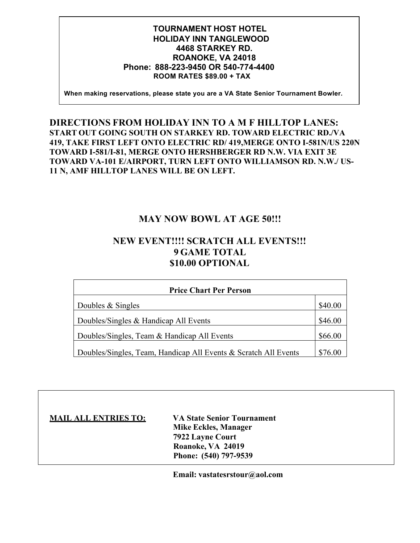## **TOURNAMENT HOST HOTEL HOLIDAY INN TANGLEWOOD 4468 STARKEY RD. ROANOKE, VA 24018 Phone: 888-223-9450 OR 540-774-4400 ROOM RATES \$89.00 + TAX**

**When making reservations, please state you are a VA State Senior Tournament Bowler.**

## **DIRECTIONS FROM HOLIDAY INN TO A M F HILLTOP LANES: START OUT GOING SOUTH ON STARKEY RD. TOWARD ELECTRIC RD./VA 419, TAKE FIRST LEFT ONTO ELECTRIC RD/ 419,MERGE ONTO I-581N/US 220N TOWARD I-581/I-81, MERGE ONTO HERSHBERGER RD N.W. VIA EXIT 3E TOWARD VA-101 E/AIRPORT, TURN LEFT ONTO WILLIAMSON RD. N.W./ US-11 N, AMF HILLTOP LANES WILL BE ON LEFT.**

## **MAY NOW BOWL AT AGE 50!!!**

## **NEW EVENT!!!! SCRATCH ALL EVENTS!!! 9 GAME TOTAL \$10.00 OPTIONAL**

| <b>Price Chart Per Person</b>                                   |         |  |  |  |
|-----------------------------------------------------------------|---------|--|--|--|
| Doubles & Singles                                               | \$40.00 |  |  |  |
| Doubles/Singles $&$ Handicap All Events                         | \$46.00 |  |  |  |
| Doubles/Singles, Team & Handicap All Events                     |         |  |  |  |
| Doubles/Singles, Team, Handicap All Events & Scratch All Events | \$76.00 |  |  |  |

| <b>MAIL ALL ENTRIES TO:</b> | <b>VA State Senior Tournament</b> |
|-----------------------------|-----------------------------------|
|                             | Mike Eckles, Manager              |
|                             | 7922 Layne Court                  |
|                             | Roanoke, VA 24019                 |
|                             | Phone: (540) 797-9539             |

**Email: vastatesrstour@aol.com**